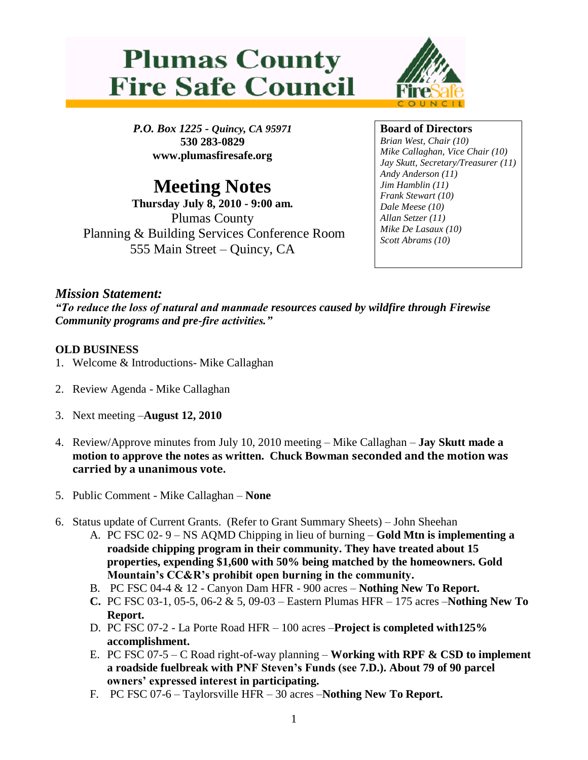



*P.O. Box 1225 - Quincy, CA 95971* **530 283-0829 www.plumasfiresafe.org**

# **Meeting Notes**

**Thursday July 8, 2010 - 9:00 am.** Plumas County Planning & Building Services Conference Room 555 Main Street – Quincy, CA

## **Board of Directors**

*Brian West, Chair (10) Mike Callaghan, Vice Chair (10) Jay Skutt, Secretary/Treasurer (11) Andy Anderson (11) Jim Hamblin (11) Frank Stewart (10) Dale Meese (10) Allan Setzer (11) Mike De Lasaux (10) Scott Abrams (10)*

## *Mission Statement:*

*"To reduce the loss of natural and manmade resources caused by wildfire through Firewise Community programs and pre-fire activities."*

### **OLD BUSINESS**

- 1. Welcome & Introductions- Mike Callaghan
- 2. Review Agenda Mike Callaghan
- 3. Next meeting –**August 12, 2010**
- 4. Review/Approve minutes from July 10, 2010 meeting Mike Callaghan **Jay Skutt made a motion to approve the notes as written. Chuck Bowman seconded and the motion was carried by a unanimous vote.**
- 5. Public Comment Mike Callaghan **None**
- 6. Status update of Current Grants. (Refer to Grant Summary Sheets) John Sheehan
	- A. PC FSC 02- 9 NS AQMD Chipping in lieu of burning **Gold Mtn is implementing a roadside chipping program in their community. They have treated about 15 properties, expending \$1,600 with 50% being matched by the homeowners. Gold Mountain's CC&R's prohibit open burning in the community.**
	- B. PC FSC 04-4 & 12 Canyon Dam HFR 900 acres **Nothing New To Report.**
	- **C.** PC FSC 03-1, 05-5, 06-2 & 5, 09-03 Eastern Plumas HFR 175 acres –**Nothing New To Report.**
	- D. PC FSC 07-2 La Porte Road HFR 100 acres –**Project is completed with125% accomplishment.**
	- E. PC FSC 07-5 C Road right-of-way planning **Working with RPF & CSD to implement a roadside fuelbreak with PNF Steven's Funds (see 7.D.). About 79 of 90 parcel owners' expressed interest in participating.**
	- F. PC FSC 07-6 Taylorsville HFR 30 acres –**Nothing New To Report.**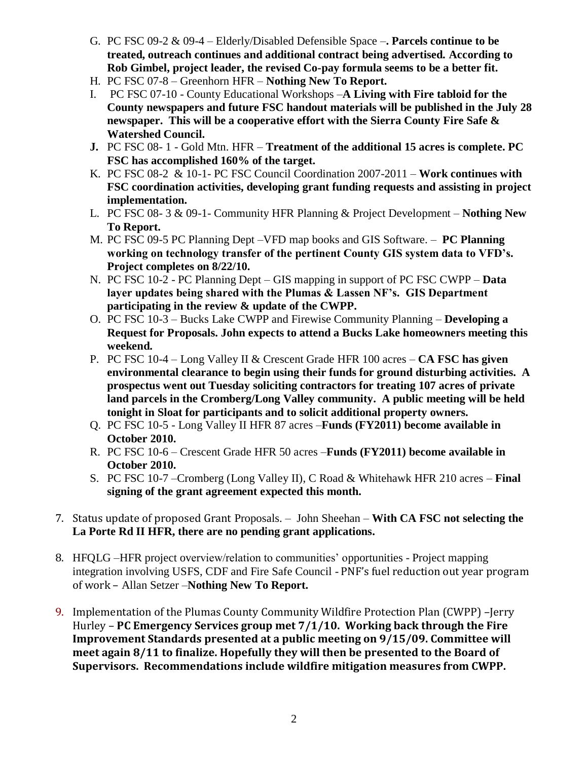- G. PC FSC 09-2 & 09-4 Elderly/Disabled Defensible Space –**. Parcels continue to be treated, outreach continues and additional contract being advertised. According to Rob Gimbel, project leader, the revised Co-pay formula seems to be a better fit.**
- H. PC FSC 07-8 Greenhorn HFR **Nothing New To Report.**
- I. PC FSC 07-10 County Educational Workshops –**A Living with Fire tabloid for the County newspapers and future FSC handout materials will be published in the July 28 newspaper. This will be a cooperative effort with the Sierra County Fire Safe & Watershed Council.**
- **J.** PC FSC 08- 1 Gold Mtn. HFR **Treatment of the additional 15 acres is complete. PC FSC has accomplished 160% of the target.**
- K. PC FSC 08-2 & 10-1- PC FSC Council Coordination 2007-2011 **Work continues with FSC coordination activities, developing grant funding requests and assisting in project implementation.**
- L. PC FSC 08- 3 & 09-1- Community HFR Planning & Project Development **Nothing New To Report.**
- M. PC FSC 09-5 PC Planning Dept –VFD map books and GIS Software. **PC Planning working on technology transfer of the pertinent County GIS system data to VFD's. Project completes on 8/22/10.**
- N. PC FSC 10-2 PC Planning Dept GIS mapping in support of PC FSC CWPP **Data layer updates being shared with the Plumas & Lassen NF's. GIS Department participating in the review & update of the CWPP.**
- O. PC FSC 10-3 Bucks Lake CWPP and Firewise Community Planning **Developing a Request for Proposals. John expects to attend a Bucks Lake homeowners meeting this weekend.**
- P. PC FSC 10-4 Long Valley II & Crescent Grade HFR 100 acres **CA FSC has given environmental clearance to begin using their funds for ground disturbing activities. A prospectus went out Tuesday soliciting contractors for treating 107 acres of private land parcels in the Cromberg/Long Valley community. A public meeting will be held tonight in Sloat for participants and to solicit additional property owners.**
- Q. PC FSC 10-5 Long Valley II HFR 87 acres –**Funds (FY2011) become available in October 2010.**
- R. PC FSC 10-6 Crescent Grade HFR 50 acres –**Funds (FY2011) become available in October 2010.**
- S. PC FSC 10-7 –Cromberg (Long Valley II), C Road & Whitehawk HFR 210 acres **Final signing of the grant agreement expected this month.**
- 7. Status update of proposed Grant Proposals. John Sheehan **With CA FSC not selecting the La Porte Rd II HFR, there are no pending grant applications.**
- 8. HFQLG –HFR project overview/relation to communities' opportunities Project mapping integration involving USFS, CDF and Fire Safe Council - PNF's fuel reduction out year program of work – Allan Setzer –**Nothing New To Report.**
- 9. Implementation of the Plumas County Community Wildfire Protection Plan (CWPP) –Jerry Hurley – **PC Emergency Services group met 7/1/10. Working back through the Fire Improvement Standards presented at a public meeting on 9/15/09. Committee will meet again 8/11 to finalize. Hopefully they will then be presented to the Board of Supervisors. Recommendations include wildfire mitigation measures from CWPP.**